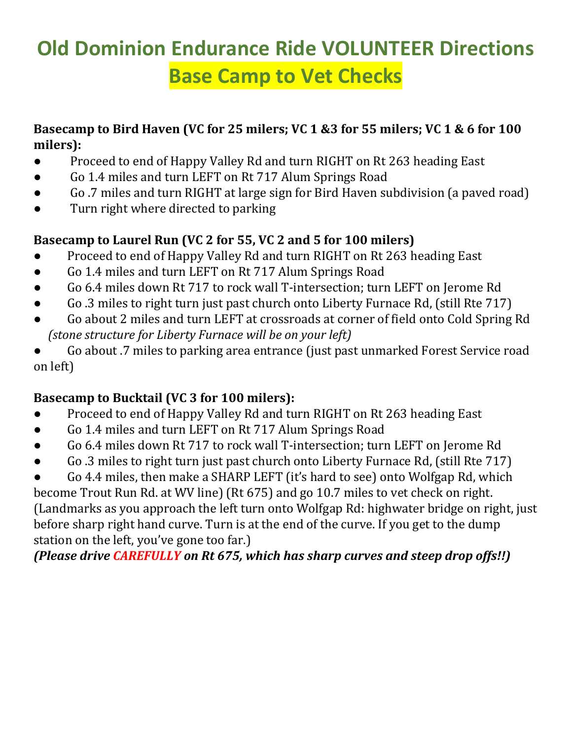# **Old Dominion Endurance Ride VOLUNTEER Directions Base Camp to Vet Checks**

#### **Basecamp to Bird Haven (VC for 25 milers; VC 1 &3 for 55 milers; VC 1 & 6 for 100 milers):**

- Proceed to end of Happy Valley Rd and turn RIGHT on Rt 263 heading East
- Go 1.4 miles and turn LEFT on Rt 717 Alum Springs Road
- Go .7 miles and turn RIGHT at large sign for Bird Haven subdivision (a paved road)
- Turn right where directed to parking

#### **Basecamp to Laurel Run (VC 2 for 55, VC 2 and 5 for 100 milers)**

- Proceed to end of Happy Valley Rd and turn RIGHT on Rt 263 heading East
- Go 1.4 miles and turn LEFT on Rt 717 Alum Springs Road
- Go 6.4 miles down Rt 717 to rock wall T-intersection; turn LEFT on Jerome Rd
- Go .3 miles to right turn just past church onto Liberty Furnace Rd, (still Rte 717)
- Go about 2 miles and turn LEFT at crossroads at corner of field onto Cold Spring Rd  *(stone structure for Liberty Furnace will be on your left)*
- Go about .7 miles to parking area entrance (just past unmarked Forest Service road on left)

#### **Basecamp to Bucktail (VC 3 for 100 milers):**

- Proceed to end of Happy Valley Rd and turn RIGHT on Rt 263 heading East
- Go 1.4 miles and turn LEFT on Rt 717 Alum Springs Road
- Go 6.4 miles down Rt 717 to rock wall T-intersection; turn LEFT on Jerome Rd
- Go .3 miles to right turn just past church onto Liberty Furnace Rd, (still Rte 717)

Go 4.4 miles, then make a SHARP LEFT (it's hard to see) onto Wolfgap Rd, which become Trout Run Rd. at WV line) (Rt 675) and go 10.7 miles to vet check on right. (Landmarks as you approach the left turn onto Wolfgap Rd: highwater bridge on right, just before sharp right hand curve. Turn is at the end of the curve. If you get to the dump station on the left, you've gone too far.)

#### *(Please drive CAREFULLY on Rt 675, which has sharp curves and steep drop offs!!)*